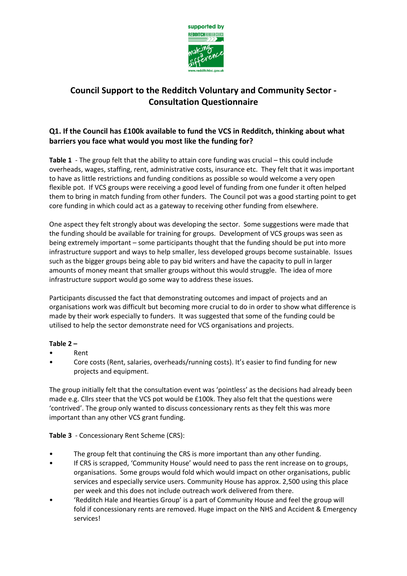

# **Council Support to the Redditch Voluntary and Community Sector - Consultation Questionnaire**

# **Q1. If the Council has £100k available to fund the VCS in Redditch, thinking about what barriers you face what would you most like the funding for?**

**Table 1** - The group felt that the ability to attain core funding was crucial – this could include overheads, wages, staffing, rent, administrative costs, insurance etc. They felt that it was important to have as little restrictions and funding conditions as possible so would welcome a very open flexible pot. If VCS groups were receiving a good level of funding from one funder it often helped them to bring in match funding from other funders. The Council pot was a good starting point to get core funding in which could act as a gateway to receiving other funding from elsewhere.

One aspect they felt strongly about was developing the sector. Some suggestions were made that the funding should be available for training for groups. Development of VCS groups was seen as being extremely important – some participants thought that the funding should be put into more infrastructure support and ways to help smaller, less developed groups become sustainable. Issues such as the bigger groups being able to pay bid writers and have the capacity to pull in larger amounts of money meant that smaller groups without this would struggle. The idea of more infrastructure support would go some way to address these issues.

Participants discussed the fact that demonstrating outcomes and impact of projects and an organisations work was difficult but becoming more crucial to do in order to show what difference is made by their work especially to funders. It was suggested that some of the funding could be utilised to help the sector demonstrate need for VCS organisations and projects.

# **Table 2 –**

- Rent
- Core costs (Rent, salaries, overheads/running costs). It's easier to find funding for new projects and equipment.

The group initially felt that the consultation event was 'pointless' as the decisions had already been made e.g. Cllrs steer that the VCS pot would be £100k. They also felt that the questions were 'contrived'. The group only wanted to discuss concessionary rents as they felt this was more important than any other VCS grant funding.

# **Table 3** - Concessionary Rent Scheme (CRS):

- The group felt that continuing the CRS is more important than any other funding.
- If CRS is scrapped, 'Community House' would need to pass the rent increase on to groups, organisations. Some groups would fold which would impact on other organisations, public services and especially service users. Community House has approx. 2,500 using this place per week and this does not include outreach work delivered from there.
- 'Redditch Hale and Hearties Group' is a part of Community House and feel the group will fold if concessionary rents are removed. Huge impact on the NHS and Accident & Emergency services!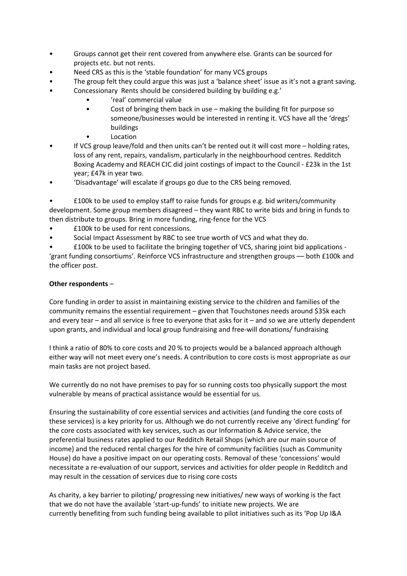- Groups cannot get their rent covered from anywhere else. Grants can be sourced for projects etc. but not rents.
- Need CRS as this is the 'stable foundation' for many VCS groups
- The group felt they could argue this was just a 'balance sheet' issue as it's not a grant saving.
- Concessionary Rents should be considered building by building e.g.'
	- 'real' commercial value
	- Cost of bringing them back in use making the building fit for purpose so someone/businesses would be interested in renting it. VCS have all the 'dregs' buildings
	- Location
- If VCS group leave/fold and then units can't be rented out it will cost more holding rates, loss of any rent, repairs, vandalism, particularly in the neighbourhood centres. Redditch Boxing Academy and REACH CIC did joint costings of impact to the Council - £23k in the 1st year; £47k in year two.
- 'Disadvantage' will escalate if groups go due to the CRS being removed.

• £100k to be used to employ staff to raise funds for groups e.g. bid writers/community development. Some group members disagreed – they want RBC to write bids and bring in funds to then distribute to groups. Bring in more funding, ring-fence for the VCS

- £100k to be used for rent concessions.
- Social Impact Assessment by RBC to see true worth of VCS and what they do.

• £100k to be used to facilitate the bringing together of VCS, sharing joint bid applications - 'grant funding consortiums'. Reinforce VCS infrastructure and strengthen groups –– both £100k and the officer post.

# **Other respondents** –

Core funding in order to assist in maintaining existing service to the children and families of the community remains the essential requirement – given that Touchstones needs around \$35k each and every tear – and all service is free to everyone that asks for it – and so we are utterly dependent upon grants, and individual and local group fundraising and free-will donations/ fundraising

I think a ratio of 80% to core costs and 20 % to projects would be a balanced approach although either way will not meet every one's needs. A contribution to core costs is most appropriate as our main tasks are not project based.

We currently do no not have premises to pay for so running costs too physically support the most vulnerable by means of practical assistance would be essential for us.

Ensuring the sustainability of core essential services and activities (and funding the core costs of these services) is a key priority for us. Although we do not currently receive any 'direct funding' for the core costs associated with key services, such as our Information & Advice service, the preferential business rates applied to our Redditch Retail Shops (which are our main source of income) and the reduced rental charges for the hire of community facilities (such as Community House) do have a positive impact on our operating costs. Removal of these 'concessions' would necessitate a re-evaluation of our support, services and activities for older people in Redditch and may result in the cessation of services due to rising core costs

As charity, a key barrier to piloting/ progressing new initiatives/ new ways of working is the fact that we do not have the available 'start-up-funds' to initiate new projects. We are currently benefiting from such funding being available to pilot initiatives such as its 'Pop Up I&A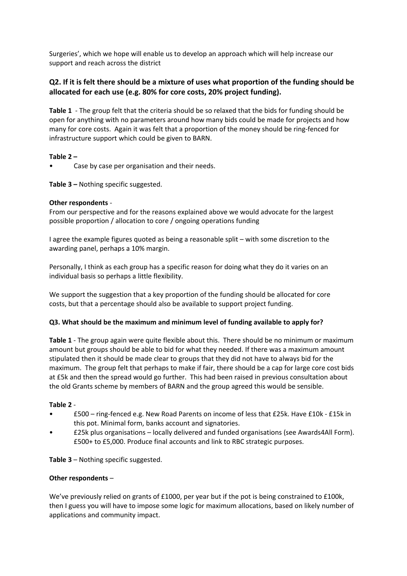Surgeries', which we hope will enable us to develop an approach which will help increase our support and reach across the district

# Q2. If it is felt there should be a mixture of uses what proportion of the funding should be **allocated for each use (e.g. 80% for core costs, 20% project funding).**

**Table 1** - The group felt that the criteria should be so relaxed that the bids for funding should be open for anything with no parameters around how many bids could be made for projects and how many for core costs. Again it was felt that a proportion of the money should be ring-fenced for infrastructure support which could be given to BARN.

### **Table 2 –**

• Case by case per organisation and their needs.

**Table 3 –** Nothing specific suggested.

### **Other respondents** -

From our perspective and for the reasons explained above we would advocate for the largest possible proportion / allocation to core / ongoing operations funding

I agree the example figures quoted as being a reasonable split – with some discretion to the awarding panel, perhaps a 10% margin.

Personally, I think as each group has a specific reason for doing what they do it varies on an individual basis so perhaps a little flexibility.

We support the suggestion that a key proportion of the funding should be allocated for core costs, but that a percentage should also be available to support project funding.

#### **Q3. What should be the maximum and minimum level of funding available to apply for?**

**Table 1** - The group again were quite flexible about this. There should be no minimum or maximum amount but groups should be able to bid for what they needed. If there was a maximum amount stipulated then it should be made clear to groups that they did not have to always bid for the maximum. The group felt that perhaps to make if fair, there should be a cap for large core cost bids at £5k and then the spread would go further. This had been raised in previous consultation about the old Grants scheme by members of BARN and the group agreed this would be sensible.

#### **Table 2** -

- £500 ring-fenced e.g. New Road Parents on income of less that £25k. Have £10k £15k in this pot. Minimal form, banks account and signatories.
- £25k plus organisations locally delivered and funded organisations (see Awards4All Form). £500+ to £5,000. Produce final accounts and link to RBC strategic purposes.

**Table 3** – Nothing specific suggested.

#### **Other respondents** –

We've previously relied on grants of £1000, per year but if the pot is being constrained to £100k, then I guess you will have to impose some logic for maximum allocations, based on likely number of applications and community impact.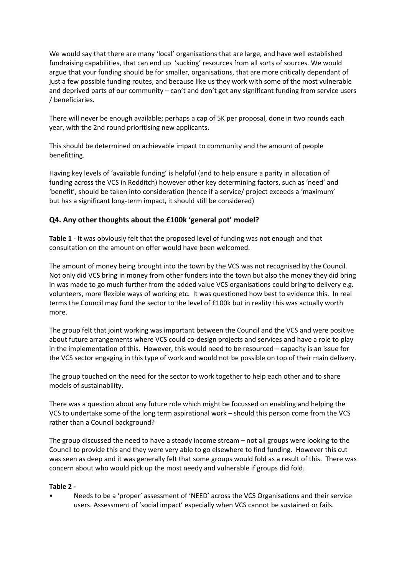We would say that there are many 'local' organisations that are large, and have well established fundraising capabilities, that can end up 'sucking' resources from all sorts of sources. We would argue that your funding should be for smaller, organisations, that are more critically dependant of just a few possible funding routes, and because like us they work with some of the most vulnerable and deprived parts of our community – can't and don't get any significant funding from service users / beneficiaries.

There will never be enough available; perhaps a cap of 5K per proposal, done in two rounds each year, with the 2nd round prioritising new applicants.

This should be determined on achievable impact to community and the amount of people benefitting.

Having key levels of 'available funding' is helpful (and to help ensure a parity in allocation of funding across the VCS in Redditch) however other key determining factors, such as 'need' and 'benefit', should be taken into consideration (hence if a service/ project exceeds a 'maximum' but has a significant long-term impact, it should still be considered)

# **Q4. Any other thoughts about the £100k 'general pot' model?**

**Table 1** - It was obviously felt that the proposed level of funding was not enough and that consultation on the amount on offer would have been welcomed.

The amount of money being brought into the town by the VCS was not recognised by the Council. Not only did VCS bring in money from other funders into the town but also the money they did bring in was made to go much further from the added value VCS organisations could bring to delivery e.g. volunteers, more flexible ways of working etc. It was questioned how best to evidence this. In real terms the Council may fund the sector to the level of £100k but in reality this was actually worth more.

The group felt that joint working was important between the Council and the VCS and were positive about future arrangements where VCS could co-design projects and services and have a role to play in the implementation of this. However, this would need to be resourced – capacity is an issue for the VCS sector engaging in this type of work and would not be possible on top of their main delivery.

The group touched on the need for the sector to work together to help each other and to share models of sustainability.

There was a question about any future role which might be focussed on enabling and helping the VCS to undertake some of the long term aspirational work – should this person come from the VCS rather than a Council background?

The group discussed the need to have a steady income stream – not all groups were looking to the Council to provide this and they were very able to go elsewhere to find funding. However this cut was seen as deep and it was generally felt that some groups would fold as a result of this. There was concern about who would pick up the most needy and vulnerable if groups did fold.

#### **Table 2 -**

• Needs to be a 'proper' assessment of 'NEED' across the VCS Organisations and their service users. Assessment of 'social impact' especially when VCS cannot be sustained or fails.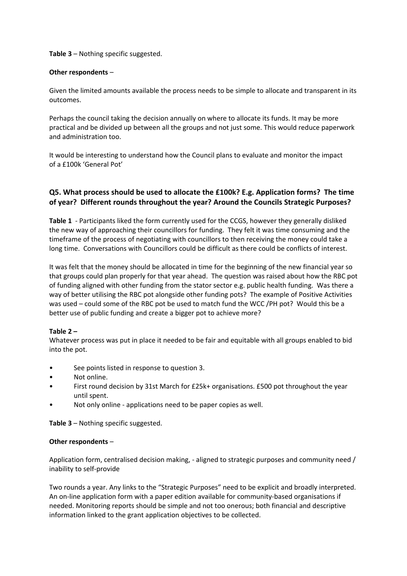**Table 3** – Nothing specific suggested.

#### **Other respondents** –

Given the limited amounts available the process needs to be simple to allocate and transparent in its outcomes.

Perhaps the council taking the decision annually on where to allocate its funds. It may be more practical and be divided up between all the groups and not just some. This would reduce paperwork and administration too.

It would be interesting to understand how the Council plans to evaluate and monitor the impact of a £100k 'General Pot'

# **Q5. What process should be used to allocate the £100k? E.g. Application forms? The time of year? Different rounds throughout the year? Around the Councils Strategic Purposes?**

**Table 1** - Participants liked the form currently used for the CCGS, however they generally disliked the new way of approaching their councillors for funding. They felt it was time consuming and the timeframe of the process of negotiating with councillors to then receiving the money could take a long time. Conversations with Councillors could be difficult as there could be conflicts of interest.

It was felt that the money should be allocated in time for the beginning of the new financial year so that groups could plan properly for that year ahead. The question was raised about how the RBC pot of funding aligned with other funding from the stator sector e.g. public health funding. Was there a way of better utilising the RBC pot alongside other funding pots? The example of Positive Activities was used – could some of the RBC pot be used to match fund the WCC /PH pot? Would this be a better use of public funding and create a bigger pot to achieve more?

# **Table 2 –**

Whatever process was put in place it needed to be fair and equitable with all groups enabled to bid into the pot.

- See points listed in response to question 3.
- Not online.
- First round decision by 31st March for £25k+ organisations. £500 pot throughout the year until spent.
- Not only online applications need to be paper copies as well.

**Table 3** – Nothing specific suggested.

#### **Other respondents** –

Application form, centralised decision making, - aligned to strategic purposes and community need / inability to self-provide

Two rounds a year. Any links to the "Strategic Purposes" need to be explicit and broadly interpreted. An on-line application form with a paper edition available for community-based organisations if needed. Monitoring reports should be simple and not too onerous; both financial and descriptive information linked to the grant application objectives to be collected.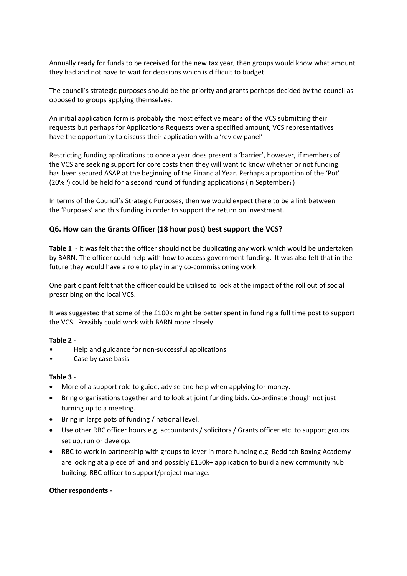Annually ready for funds to be received for the new tax year, then groups would know what amount they had and not have to wait for decisions which is difficult to budget.

The council's strategic purposes should be the priority and grants perhaps decided by the council as opposed to groups applying themselves.

An initial application form is probably the most effective means of the VCS submitting their requests but perhaps for Applications Requests over a specified amount, VCS representatives have the opportunity to discuss their application with a 'review panel'

Restricting funding applications to once a year does present a 'barrier', however, if members of the VCS are seeking support for core costs then they will want to know whether or not funding has been secured ASAP at the beginning of the Financial Year. Perhaps a proportion of the 'Pot' (20%?) could be held for a second round of funding applications (in September?)

In terms of the Council's Strategic Purposes, then we would expect there to be a link between the 'Purposes' and this funding in order to support the return on investment.

### **Q6. How can the Grants Officer (18 hour post) best support the VCS?**

**Table 1** - It was felt that the officer should not be duplicating any work which would be undertaken by BARN. The officer could help with how to access government funding. It was also felt that in the future they would have a role to play in any co-commissioning work.

One participant felt that the officer could be utilised to look at the impact of the roll out of social prescribing on the local VCS.

It was suggested that some of the £100k might be better spent in funding a full time post to support the VCS. Possibly could work with BARN more closely.

#### **Table 2** -

- Help and guidance for non-successful applications
- Case by case basis.

#### **Table 3** -

- More of a support role to guide, advise and help when applying for money.
- Bring organisations together and to look at joint funding bids. Co-ordinate though not just turning up to a meeting.
- Bring in large pots of funding / national level.
- Use other RBC officer hours e.g. accountants / solicitors / Grants officer etc. to support groups set up, run or develop.
- RBC to work in partnership with groups to lever in more funding e.g. Redditch Boxing Academy are looking at a piece of land and possibly £150k+ application to build a new community hub building. RBC officer to support/project manage.

#### **Other respondents -**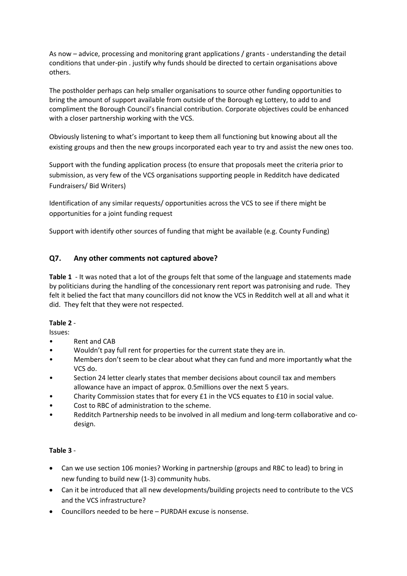As now – advice, processing and monitoring grant applications / grants - understanding the detail conditions that under-pin . justify why funds should be directed to certain organisations above others.

The postholder perhaps can help smaller organisations to source other funding opportunities to bring the amount of support available from outside of the Borough eg Lottery, to add to and compliment the Borough Council's financial contribution. Corporate objectives could be enhanced with a closer partnership working with the VCS.

Obviously listening to what's important to keep them all functioning but knowing about all the existing groups and then the new groups incorporated each year to try and assist the new ones too.

Support with the funding application process (to ensure that proposals meet the criteria prior to submission, as very few of the VCS organisations supporting people in Redditch have dedicated Fundraisers/ Bid Writers)

Identification of any similar requests/ opportunities across the VCS to see if there might be opportunities for a joint funding request

Support with identify other sources of funding that might be available (e.g. County Funding)

# **Q7. Any other comments not captured above?**

**Table 1** - It was noted that a lot of the groups felt that some of the language and statements made by politicians during the handling of the concessionary rent report was patronising and rude. They felt it belied the fact that many councillors did not know the VCS in Redditch well at all and what it did. They felt that they were not respected.

# **Table 2** -

Issues:

- Rent and CAB
- Wouldn't pay full rent for properties for the current state they are in.
- Members don't seem to be clear about what they can fund and more importantly what the VCS do.
- Section 24 letter clearly states that member decisions about council tax and members allowance have an impact of approx. 0.5millions over the next 5 years.
- Charity Commission states that for every £1 in the VCS equates to £10 in social value.
- Cost to RBC of administration to the scheme.
- Redditch Partnership needs to be involved in all medium and long-term collaborative and codesign.

# **Table 3** -

- Can we use section 106 monies? Working in partnership (groups and RBC to lead) to bring in new funding to build new (1-3) community hubs.
- Can it be introduced that all new developments/building projects need to contribute to the VCS and the VCS infrastructure?
- Councillors needed to be here PURDAH excuse is nonsense.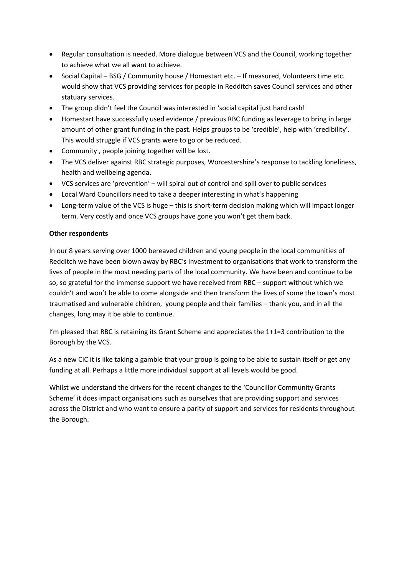- Regular consultation is needed. More dialogue between VCS and the Council, working together to achieve what we all want to achieve.
- Social Capital BSG / Community house / Homestart etc. If measured, Volunteers time etc. would show that VCS providing services for people in Redditch saves Council services and other statuary services.
- The group didn't feel the Council was interested in 'social capital just hard cash!
- Homestart have successfully used evidence / previous RBC funding as leverage to bring in large amount of other grant funding in the past. Helps groups to be 'credible', help with 'credibility'. This would struggle if VCS grants were to go or be reduced.
- Community , people joining together will be lost.
- The VCS deliver against RBC strategic purposes, Worcestershire's response to tackling loneliness, health and wellbeing agenda.
- VCS services are 'prevention' will spiral out of control and spill over to public services
- Local Ward Councillors need to take a deeper interesting in what's happening
- Long-term value of the VCS is huge this is short-term decision making which will impact longer term. Very costly and once VCS groups have gone you won't get them back.

### **Other respondents**

In our 8 years serving over 1000 bereaved children and young people in the local communities of Redditch we have been blown away by RBC's investment to organisations that work to transform the lives of people in the most needing parts of the local community. We have been and continue to be so, so grateful for the immense support we have received from RBC – support without which we couldn't and won't be able to come alongside and then transform the lives of some the town's most traumatised and vulnerable children, young people and their families – thank you, and in all the changes, long may it be able to continue.

I'm pleased that RBC is retaining its Grant Scheme and appreciates the 1+1=3 contribution to the Borough by the VCS.

As a new CIC it is like taking a gamble that your group is going to be able to sustain itself or get any funding at all. Perhaps a little more individual support at all levels would be good.

Whilst we understand the drivers for the recent changes to the 'Councillor Community Grants Scheme' it does impact organisations such as ourselves that are providing support and services across the District and who want to ensure a parity of support and services for residents throughout the Borough.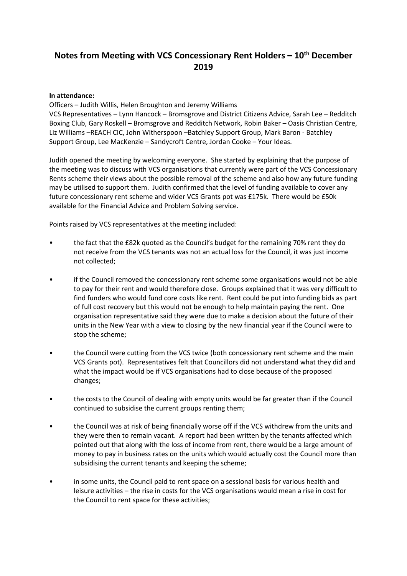# **Notes from Meeting with VCS Concessionary Rent Holders – 10th December 2019**

#### **In attendance:**

Officers – Judith Willis, Helen Broughton and Jeremy Williams VCS Representatives – Lynn Hancock – Bromsgrove and District Citizens Advice, Sarah Lee – Redditch Boxing Club, Gary Roskell – Bromsgrove and Redditch Network, Robin Baker – Oasis Christian Centre, Liz Williams –REACH CIC, John Witherspoon –Batchley Support Group, Mark Baron - Batchley Support Group, Lee MacKenzie – Sandycroft Centre, Jordan Cooke – Your Ideas.

Judith opened the meeting by welcoming everyone. She started by explaining that the purpose of the meeting was to discuss with VCS organisations that currently were part of the VCS Concessionary Rents scheme their views about the possible removal of the scheme and also how any future funding may be utilised to support them. Judith confirmed that the level of funding available to cover any future concessionary rent scheme and wider VCS Grants pot was £175k. There would be £50k available for the Financial Advice and Problem Solving service.

Points raised by VCS representatives at the meeting included:

- the fact that the £82k quoted as the Council's budget for the remaining 70% rent they do not receive from the VCS tenants was not an actual loss for the Council, it was just income not collected;
- if the Council removed the concessionary rent scheme some organisations would not be able to pay for their rent and would therefore close. Groups explained that it was very difficult to find funders who would fund core costs like rent. Rent could be put into funding bids as part of full cost recovery but this would not be enough to help maintain paying the rent. One organisation representative said they were due to make a decision about the future of their units in the New Year with a view to closing by the new financial year if the Council were to stop the scheme;
- the Council were cutting from the VCS twice (both concessionary rent scheme and the main VCS Grants pot). Representatives felt that Councillors did not understand what they did and what the impact would be if VCS organisations had to close because of the proposed changes;
- the costs to the Council of dealing with empty units would be far greater than if the Council continued to subsidise the current groups renting them;
- the Council was at risk of being financially worse off if the VCS withdrew from the units and they were then to remain vacant. A report had been written by the tenants affected which pointed out that along with the loss of income from rent, there would be a large amount of money to pay in business rates on the units which would actually cost the Council more than subsidising the current tenants and keeping the scheme;
- in some units, the Council paid to rent space on a sessional basis for various health and leisure activities – the rise in costs for the VCS organisations would mean a rise in cost for the Council to rent space for these activities;